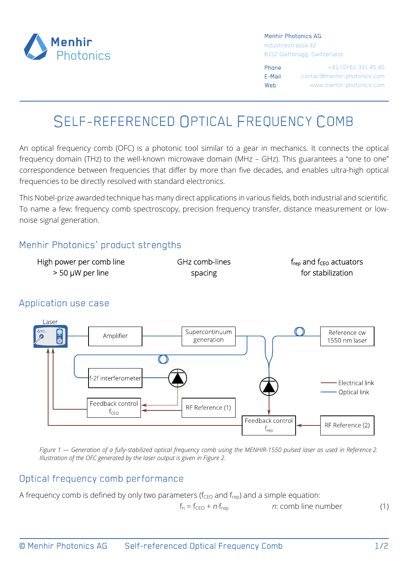

Menhir Photonics AG

Industriestrasse 42 8152 Glattbrugg, Switzerland

Phone +41 (0) 61 331 45 45 E-Mail contact@menhir-photonics.com Web www.menhir-photonics.com

# SELF-REFERENCED OPTICAL FREQUENCY COMB

An optical frequency comb (OFC) is a photonic tool similar to a gear in mechanics. It connects the optical frequency domain (THz) to the well-known microwave domain (MHz – GHz). This guarantees a "one to one" correspondence between frequencies that differ by more than five decades, and enables ultra-high optical frequencies to be directly resolved with standard electronics.

This Nobel-prize awarded technique has many direct applications in various fields, both industrial and scientific. To name a few: frequency comb spectroscopy, precision frequency transfer, distance measurement or lownoise signal generation.

# Menhir Photonics' product strengths

| High power per comb line | GHz comb-lines | $f_{\text{rep}}$ and $f_{\text{CEO}}$ actuators |
|--------------------------|----------------|-------------------------------------------------|
| $>$ 50 µW per line       | spacing        | for stabilization                               |

#### $250r$ Supercontinuum Reference cw Amplifier generation 1550 nm laser  $\mathcal{O}$ -2f interferometer **Electrical link** - Optical link Feedback contro RF Reference (1)  $f_{CFO}$ Feedback control RF Reference (2)  $f_{\text{reo}}$

# Application use case

*Figure 1 — Generation of a fully-stabilized optical frequency comb using the MENHIR-1550 pulsed laser as used in Reference 2. Illustration of the OFC generated by the laser output is given in Figure 2.* 

### Optical frequency comb performance

A frequency comb is defined by only two parameters ( $f_{\text{CEO}}$  and  $f_{\text{reo}}$ ) and a simple equation:

 $f_n = f_{CFO} + n \cdot f_{ren}$  *n*: comb line number (1)